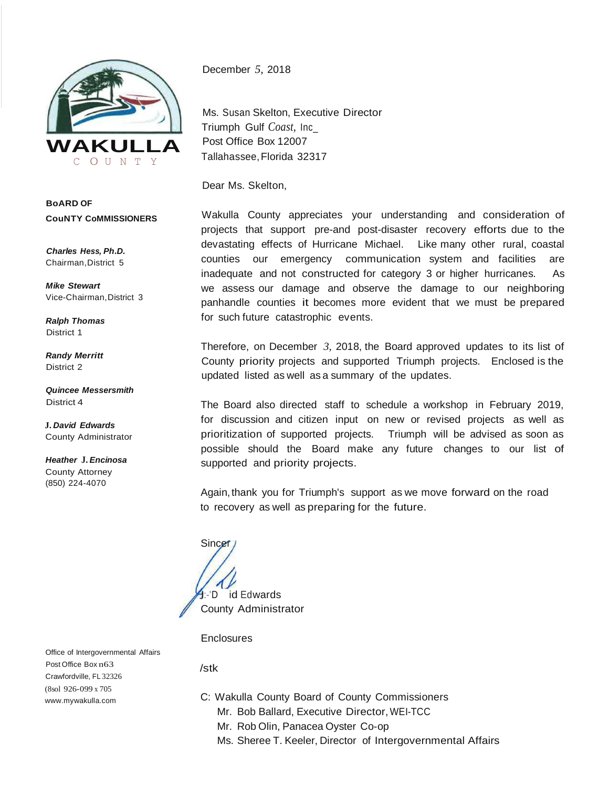

**BoARD OF CouNTY CoMMISSIONERS**

*Charles Hess, Ph.D.* Chairman,District 5

*Mike Stewart* Vice-Chairman,District 3

*Ralph Thomas* District 1

*Randy Merritt* District 2

*Quincee Messersmith* District 4

**J.** *David Edwards* County Administrator

*Heather* **J.** *Encinosa*  County Attorney (850) 224-4070

December *5,* 2018

Ms. Susan Skelton, Executive Director Triumph Gulf *Coast,* Inc\_ Post Office Box 12007 Tallahassee, Florida 32317

Dear Ms. Skelton,

Wakulla County appreciates your understanding and consideration of projects that support pre-and post-disaster recovery efforts due to the devastating effects of Hurricane Michael. Like many other rural, coastal counties our emergency communication system and facilities are inadequate and not constructed for category 3 or higher hurricanes. As we assess our damage and observe the damage to our neighboring panhandle counties it becomes more evident that we must be prepared for such future catastrophic events.

Therefore, on December *3,* 2018, the Board approved updates to its list of County priority projects and supported Triumph projects. Enclosed is the updated listed as well as a summary of the updates.

The Board also directed staff to schedule a workshop in February 2019, for discussion and citizen input on new or revised projects as well as prioritization of supported projects. Triumph will be advised as soon as possible should the Board make any future changes to our list of supported and priority projects.

Again, thank you for Triumph's support as we move forward on the road to recovery as well as preparing for the future.

**Sincer** :-'D id Edwards County Administrator

**Enclosures** 

Office of Intergovernmental Affairs Post Office Box n63 Crawfordville, FL 32326 (8sol 926-099 x 705 [www.mywakulla.com](http://www.mywakulla.com/)

/stk

- C: Wakulla County Board of County Commissioners
	- Mr. Bob Ballard, Executive Director,WEI-TCC
	- Mr. Rob Olin, Panacea Oyster Co-op
	- Ms. Sheree T. Keeler, Director of Intergovernmental Affairs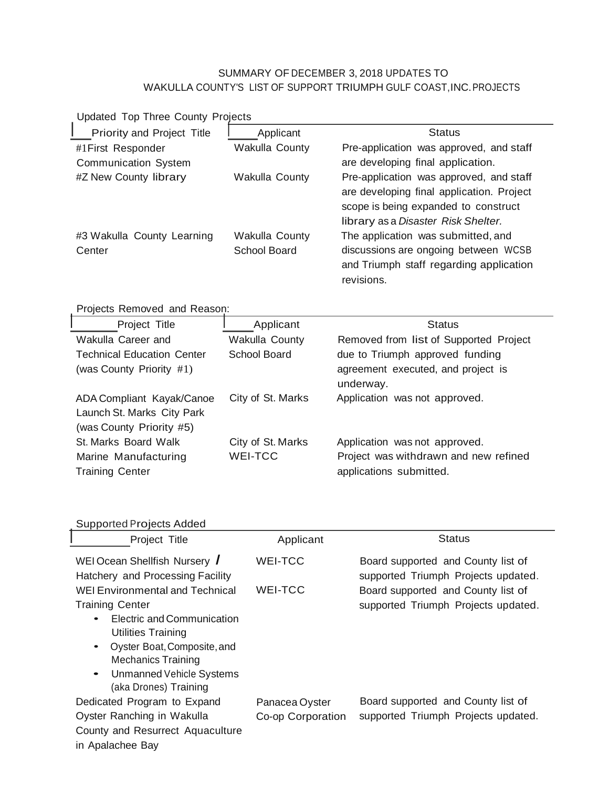## SUMMARY OF DECEMBER 3, 2018 UPDATES TO WAKULLA COUNTY'S LIST OF SUPPORT TRIUMPH GULF COAST,INC.PROJECTS

| Updated Top Three County Projects                                                   |                     |                                                                                                                                                                     |  |  |  |
|-------------------------------------------------------------------------------------|---------------------|---------------------------------------------------------------------------------------------------------------------------------------------------------------------|--|--|--|
| Priority and Project Title                                                          | Applicant           | <b>Status</b>                                                                                                                                                       |  |  |  |
| #1 First Responder                                                                  | Wakulla County      | Pre-application was approved, and staff                                                                                                                             |  |  |  |
| <b>Communication System</b>                                                         |                     | are developing final application.                                                                                                                                   |  |  |  |
| #Z New County library                                                               | Wakulla County      | Pre-application was approved, and staff<br>are developing final application. Project<br>scope is being expanded to construct<br>library as a Disaster Risk Shelter. |  |  |  |
| #3 Wakulla County Learning                                                          | Wakulla County      | The application was submitted, and                                                                                                                                  |  |  |  |
| Center                                                                              | <b>School Board</b> | discussions are ongoing between WCSB<br>and Triumph staff regarding application<br>revisions.                                                                       |  |  |  |
| Projects Removed and Reason:                                                        |                     |                                                                                                                                                                     |  |  |  |
| Project Title                                                                       | Applicant           | <b>Status</b>                                                                                                                                                       |  |  |  |
| Wakulla Career and                                                                  | Wakulla County      | Removed from list of Supported Project                                                                                                                              |  |  |  |
| <b>Technical Education Center</b>                                                   | <b>School Board</b> | due to Triumph approved funding                                                                                                                                     |  |  |  |
| (was County Priority #1)                                                            |                     | agreement executed, and project is                                                                                                                                  |  |  |  |
|                                                                                     |                     | underway.                                                                                                                                                           |  |  |  |
| ADA Compliant Kayak/Canoe<br>Launch St. Marks City Park<br>(was County Priority #5) | City of St. Marks   | Application was not approved.                                                                                                                                       |  |  |  |
| St. Marks Board Walk                                                                | City of St. Marks   | Application was not approved.                                                                                                                                       |  |  |  |
| Marine Manufacturing<br><b>Training Center</b>                                      | <b>WEI-TCC</b>      | Project was withdrawn and new refined<br>applications submitted.                                                                                                    |  |  |  |

| <b>Supported Projects Added</b>                                                                                                                                    |                                     |                                                                           |
|--------------------------------------------------------------------------------------------------------------------------------------------------------------------|-------------------------------------|---------------------------------------------------------------------------|
| Project Title                                                                                                                                                      | Applicant                           | Status                                                                    |
| WEI Ocean Shellfish Nursery /<br>Hatchery and Processing Facility                                                                                                  | <b>WEI-TCC</b>                      | Board supported and County list of<br>supported Triumph Projects updated. |
| WEI Environmental and Technical<br><b>Training Center</b><br>Electric and Communication<br>Utilities Training<br>Oyster Boat, Composite, and<br>Mechanics Training | WEI-TCC                             | Board supported and County list of<br>supported Triumph Projects updated. |
| Unmanned Vehicle Systems<br>$\bullet$<br>(aka Drones) Training<br>Dedicated Program to Expand<br>Oyster Ranching in Wakulla<br>County and Resurrect Aquaculture    | Panacea Oyster<br>Co-op Corporation | Board supported and County list of<br>supported Triumph Projects updated. |
| in Apalachee Bay                                                                                                                                                   |                                     |                                                                           |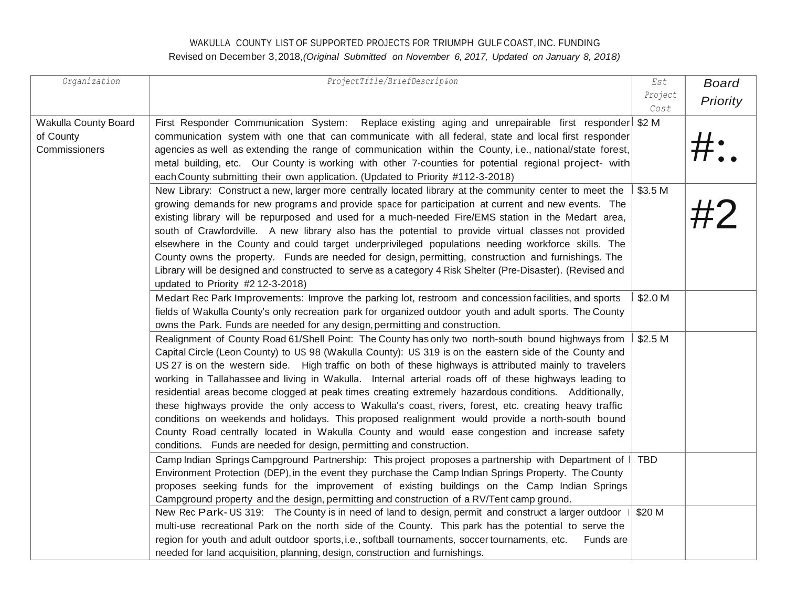## WAKULLA COUNTY LIST OF SUPPORTED PROJECTS FOR TRIUMPH GULF COAST,INC. FUNDING Revised on December 3,2018,*(Original Submitted on November 6, 2017, Updated on January 8, 2018)*

| Organization         | ProjectTffle/BriefDescrip&on                                                                                                                                                                                      | Est        | <b>Board</b> |
|----------------------|-------------------------------------------------------------------------------------------------------------------------------------------------------------------------------------------------------------------|------------|--------------|
|                      |                                                                                                                                                                                                                   | Project    | Priority     |
|                      |                                                                                                                                                                                                                   | Cost       |              |
| Wakulla County Board | First Responder Communication System: Replace existing aging and unrepairable first responder                                                                                                                     | \$2 M      |              |
| of County            | communication system with one that can communicate with all federal, state and local first responder                                                                                                              |            |              |
| Commissioners        | agencies as well as extending the range of communication within the County, i.e., national/state forest,                                                                                                          |            |              |
|                      | metal building, etc. Our County is working with other 7-counties for potential regional project- with                                                                                                             |            |              |
|                      | each County submitting their own application. (Updated to Priority #112-3-2018)                                                                                                                                   |            |              |
|                      | New Library: Construct a new, larger more centrally located library at the community center to meet the                                                                                                           | \$3.5 M    | #2           |
|                      | growing demands for new programs and provide space for participation at current and new events. The                                                                                                               |            |              |
|                      | existing library will be repurposed and used for a much-needed Fire/EMS station in the Medart area,                                                                                                               |            |              |
|                      | south of Crawfordville. A new library also has the potential to provide virtual classes not provided                                                                                                              |            |              |
|                      | elsewhere in the County and could target underprivileged populations needing workforce skills. The                                                                                                                |            |              |
|                      | County owns the property. Funds are needed for design, permitting, construction and furnishings. The                                                                                                              |            |              |
|                      | Library will be designed and constructed to serve as a category 4 Risk Shelter (Pre-Disaster). (Revised and                                                                                                       |            |              |
|                      | updated to Priority #2 12-3-2018)                                                                                                                                                                                 | \$2.0 M    |              |
|                      | Medart Rec Park Improvements: Improve the parking lot, restroom and concession facilities, and sports                                                                                                             |            |              |
|                      | fields of Wakulla County's only recreation park for organized outdoor youth and adult sports. The County                                                                                                          |            |              |
|                      | owns the Park. Funds are needed for any design, permitting and construction.                                                                                                                                      | \$2.5 M    |              |
|                      | Realignment of County Road 61/Shell Point: The County has only two north-south bound highways from                                                                                                                |            |              |
|                      | Capital Circle (Leon County) to US 98 (Wakulla County): US 319 is on the eastern side of the County and<br>US 27 is on the western side. High traffic on both of these highways is attributed mainly to travelers |            |              |
|                      | working in Tallahassee and living in Wakulla. Internal arterial roads off of these highways leading to                                                                                                            |            |              |
|                      | residential areas become clogged at peak times creating extremely hazardous conditions. Additionally,                                                                                                             |            |              |
|                      | these highways provide the only access to Wakulla's coast, rivers, forest, etc. creating heavy traffic                                                                                                            |            |              |
|                      | conditions on weekends and holidays. This proposed realignment would provide a north-south bound                                                                                                                  |            |              |
|                      | County Road centrally located in Wakulla County and would ease congestion and increase safety                                                                                                                     |            |              |
|                      | conditions. Funds are needed for design, permitting and construction.                                                                                                                                             |            |              |
|                      | Camp Indian Springs Campground Partnership: This project proposes a partnership with Department of                                                                                                                | <b>TBD</b> |              |
|                      | Environment Protection (DEP), in the event they purchase the Camp Indian Springs Property. The County                                                                                                             |            |              |
|                      | proposes seeking funds for the improvement of existing buildings on the Camp Indian Springs                                                                                                                       |            |              |
|                      | Campground property and the design, permitting and construction of a RV/Tent camp ground.                                                                                                                         |            |              |
|                      | New Rec Park-US 319: The County is in need of land to design, permit and construct a larger outdoor                                                                                                               | \$20 M     |              |
|                      | multi-use recreational Park on the north side of the County. This park has the potential to serve the                                                                                                             |            |              |
|                      | region for youth and adult outdoor sports, i.e., softball tournaments, soccer tournaments, etc.<br>Funds are                                                                                                      |            |              |
|                      | needed for land acquisition, planning, design, construction and furnishings.                                                                                                                                      |            |              |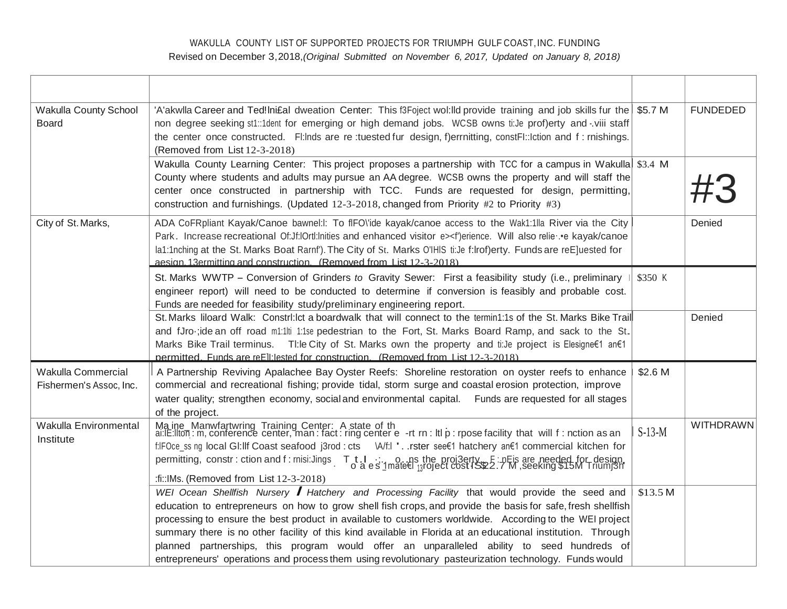## WAKULLA COUNTY LIST OF SUPPORTED PROJECTS FOR TRIUMPH GULF COAST, INC. FUNDING Revised on December 3,2018, (Original Submitted on November 6, 2017, Updated on January 8, 2018)

| Wakulla County School<br>Board                | 'A'akwlla Career and Ted! Ini£al dweation Center: This f3Foject wol: Ild provide training and job skills fur the \$5.7 M<br>non degree seeking st1::1dent for emerging or high demand jobs. WCSB owns ti:Je prof)erty and -viii staff<br>the center once constructed. Fl:lnds are re:tuested fur design, f)errnitting, constFl::lction and f: rnishings.<br>(Removed from List 12-3-2018)                                                                                                                                                                                                                                                             |          | <b>FUNDEDED</b>  |
|-----------------------------------------------|-------------------------------------------------------------------------------------------------------------------------------------------------------------------------------------------------------------------------------------------------------------------------------------------------------------------------------------------------------------------------------------------------------------------------------------------------------------------------------------------------------------------------------------------------------------------------------------------------------------------------------------------------------|----------|------------------|
|                                               | Wakulla County Learning Center: This project proposes a partnership with TCC for a campus in Wakulla \$3.4 M<br>County where students and adults may pursue an AA degree. WCSB owns the property and will staff the<br>center once constructed in partnership with TCC. Funds are requested for design, permitting,<br>construction and furnishings. (Updated 12-3-2018, changed from Priority #2 to Priority #3)                                                                                                                                                                                                                                     |          |                  |
| City of St. Marks,                            | ADA CoFRpliant Kayak/Canoe bawnel: I: To fIFO\'ide kayak/canoe access to the Wak1:1lla River via the City<br>Park. Increase recreational Of:Jf:lOrtl:lnities and enhanced visitor e> <f')erience. also="" canoe<br="" e="" kayak="" relie="" will="">la1:1nching at the St. Marks Boat Rarnf'). The City of St. Marks O'lHIS ti:Je f:lrof)erty. Funds are reE]uested for<br/>aesign 13ermitting and construction (Removed from List 12-3-2018)</f')erience.>                                                                                                                                                                                          |          | Denied           |
|                                               | St. Marks WWTP – Conversion of Grinders to Gravity Sewer: First a feasibility study (i.e., preliminary<br>engineer report) will need to be conducted to determine if conversion is feasibly and probable cost.<br>Funds are needed for feasibility study/preliminary engineering report.                                                                                                                                                                                                                                                                                                                                                              | \$350 K  |                  |
|                                               | St. Marks liloard Walk: Constri: Ict a boardwalk that will connect to the termin1:1s of the St. Marks Bike Trail<br>and fJro-;ide an off road m1:1lti 1:1se pedestrian to the Fort, St. Marks Board Ramp, and sack to the St.<br>Marks Bike Trail terminus.  TI:le City of St. Marks own the property and ti:Je project is Elesigne f an E1<br>permitted Funds are reFII lested for construction (Removed from List 12-3-2018)                                                                                                                                                                                                                        |          | Denied           |
| Wakulla Commercial<br>Fishermen's Assoc, Inc. | A Partnership Reviving Apalachee Bay Oyster Reefs: Shoreline restoration on oyster reefs to enhance<br>commercial and recreational fishing; provide tidal, storm surge and coastal erosion protection, improve<br>water quality; strengthen economy, social and environmental capital. Funds are requested for all stages<br>of the project.                                                                                                                                                                                                                                                                                                          | \$2.6 M  |                  |
| Wakulla Environmental<br>Institute            | Ma ine Manwfartwring Training Center: A state of th<br>ai:lE:llton: m, conference center, man: fact: ring center e -rt rn: ltl p: rpose facility that will f: nction as an<br>f:IFOce_ss ng local GI:IIf Coast seafood j3rod : cts    \A/f:I '. .rster see€1 hatchery an€1 commercial kitchen for<br>permitting, constr: ction and f: misi:Jings Tt.I :: 0. ns the proj3erty E: nEis are needed for design, permitting, constr: ction and f: misi:Jings Tt.I :: 0. a es 1mate€ 13roject cost IS\$2.7 M, seeking \$15M Triumj3h<br>:fi:: IMs. (Removed from List 12-3-2018)                                                                            | $S-13-M$ | <b>WITHDRAWN</b> |
|                                               | WEI Ocean Shellfish Nursery <b>/</b> Hatchery and Processing Facility that would provide the seed and<br>education to entrepreneurs on how to grow shell fish crops, and provide the basis for safe, fresh shellfish<br>processing to ensure the best product in available to customers worldwide. According to the WEI project<br>summary there is no other facility of this kind available in Florida at an educational institution. Through<br>planned partnerships, this program would offer an unparalleled ability to seed hundreds of<br>entrepreneurs' operations and process them using revolutionary pasteurization technology. Funds would | \$13.5 M |                  |